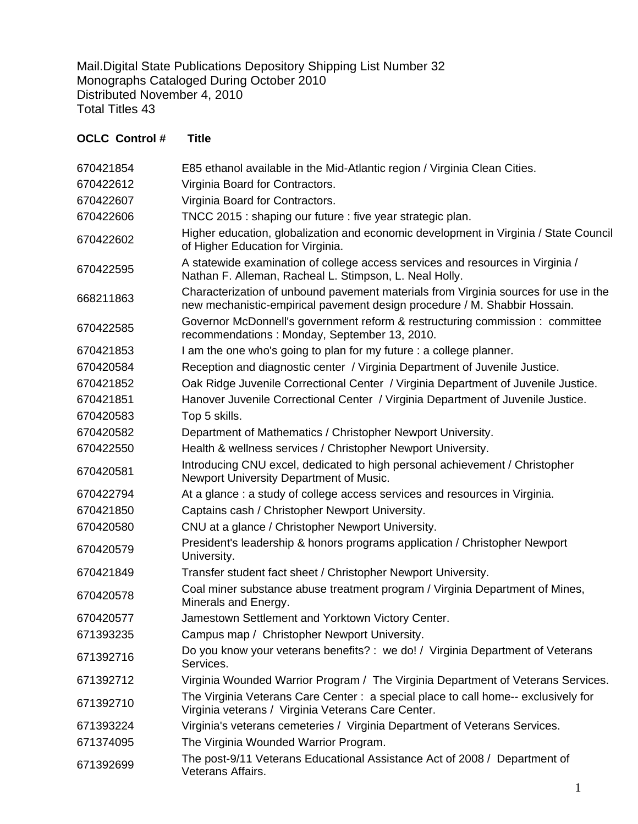Mail.Digital State Publications Depository Shipping List Number 32 Monographs Cataloged During October 2010 Distributed November 4, 2010 Total Titles 43

## **OCLC Control # Title**

| 670421854 | E85 ethanol available in the Mid-Atlantic region / Virginia Clean Cities.                                                                                        |
|-----------|------------------------------------------------------------------------------------------------------------------------------------------------------------------|
| 670422612 | Virginia Board for Contractors.                                                                                                                                  |
| 670422607 | Virginia Board for Contractors.                                                                                                                                  |
| 670422606 | TNCC 2015 : shaping our future : five year strategic plan.                                                                                                       |
| 670422602 | Higher education, globalization and economic development in Virginia / State Council<br>of Higher Education for Virginia.                                        |
| 670422595 | A statewide examination of college access services and resources in Virginia /<br>Nathan F. Alleman, Racheal L. Stimpson, L. Neal Holly.                         |
| 668211863 | Characterization of unbound pavement materials from Virginia sources for use in the<br>new mechanistic-empirical pavement design procedure / M. Shabbir Hossain. |
| 670422585 | Governor McDonnell's government reform & restructuring commission : committee<br>recommendations: Monday, September 13, 2010.                                    |
| 670421853 | I am the one who's going to plan for my future : a college planner.                                                                                              |
| 670420584 | Reception and diagnostic center / Virginia Department of Juvenile Justice.                                                                                       |
| 670421852 | Oak Ridge Juvenile Correctional Center / Virginia Department of Juvenile Justice.                                                                                |
| 670421851 | Hanover Juvenile Correctional Center / Virginia Department of Juvenile Justice.                                                                                  |
| 670420583 | Top 5 skills.                                                                                                                                                    |
| 670420582 | Department of Mathematics / Christopher Newport University.                                                                                                      |
| 670422550 | Health & wellness services / Christopher Newport University.                                                                                                     |
| 670420581 | Introducing CNU excel, dedicated to high personal achievement / Christopher<br>Newport University Department of Music.                                           |
| 670422794 | At a glance: a study of college access services and resources in Virginia.                                                                                       |
| 670421850 | Captains cash / Christopher Newport University.                                                                                                                  |
| 670420580 | CNU at a glance / Christopher Newport University.                                                                                                                |
| 670420579 | President's leadership & honors programs application / Christopher Newport<br>University.                                                                        |
| 670421849 | Transfer student fact sheet / Christopher Newport University.                                                                                                    |
| 670420578 | Coal miner substance abuse treatment program / Virginia Department of Mines,<br>Minerals and Energy.                                                             |
| 670420577 | Jamestown Settlement and Yorktown Victory Center.                                                                                                                |
| 671393235 | Campus map / Christopher Newport University.                                                                                                                     |
| 671392716 | Do you know your veterans benefits? : we do! / Virginia Department of Veterans<br>Services.                                                                      |
| 671392712 | Virginia Wounded Warrior Program / The Virginia Department of Veterans Services.                                                                                 |
| 671392710 | The Virginia Veterans Care Center: a special place to call home-- exclusively for<br>Virginia veterans / Virginia Veterans Care Center.                          |
| 671393224 | Virginia's veterans cemeteries / Virginia Department of Veterans Services.                                                                                       |
| 671374095 | The Virginia Wounded Warrior Program.                                                                                                                            |
| 671392699 | The post-9/11 Veterans Educational Assistance Act of 2008 / Department of<br>Veterans Affairs.                                                                   |